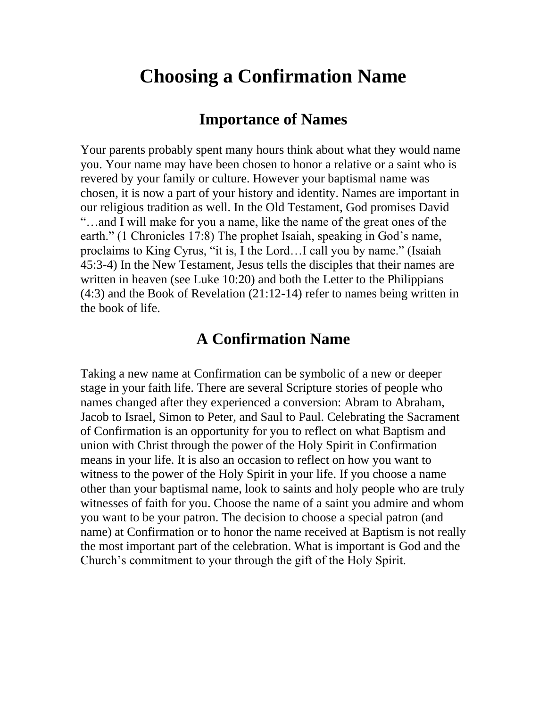## **Choosing a Confirmation Name**

## **Importance of Names**

Your parents probably spent many hours think about what they would name you. Your name may have been chosen to honor a relative or a saint who is revered by your family or culture. However your baptismal name was chosen, it is now a part of your history and identity. Names are important in our religious tradition as well. In the Old Testament, God promises David "…and I will make for you a name, like the name of the great ones of the earth." (1 Chronicles 17:8) The prophet Isaiah, speaking in God's name, proclaims to King Cyrus, "it is, I the Lord…I call you by name." (Isaiah 45:3-4) In the New Testament, Jesus tells the disciples that their names are written in heaven (see Luke 10:20) and both the Letter to the Philippians (4:3) and the Book of Revelation (21:12-14) refer to names being written in the book of life.

## **A Confirmation Name**

Taking a new name at Confirmation can be symbolic of a new or deeper stage in your faith life. There are several Scripture stories of people who names changed after they experienced a conversion: Abram to Abraham, Jacob to Israel, Simon to Peter, and Saul to Paul. Celebrating the Sacrament of Confirmation is an opportunity for you to reflect on what Baptism and union with Christ through the power of the Holy Spirit in Confirmation means in your life. It is also an occasion to reflect on how you want to witness to the power of the Holy Spirit in your life. If you choose a name other than your baptismal name, look to saints and holy people who are truly witnesses of faith for you. Choose the name of a saint you admire and whom you want to be your patron. The decision to choose a special patron (and name) at Confirmation or to honor the name received at Baptism is not really the most important part of the celebration. What is important is God and the Church's commitment to your through the gift of the Holy Spirit.